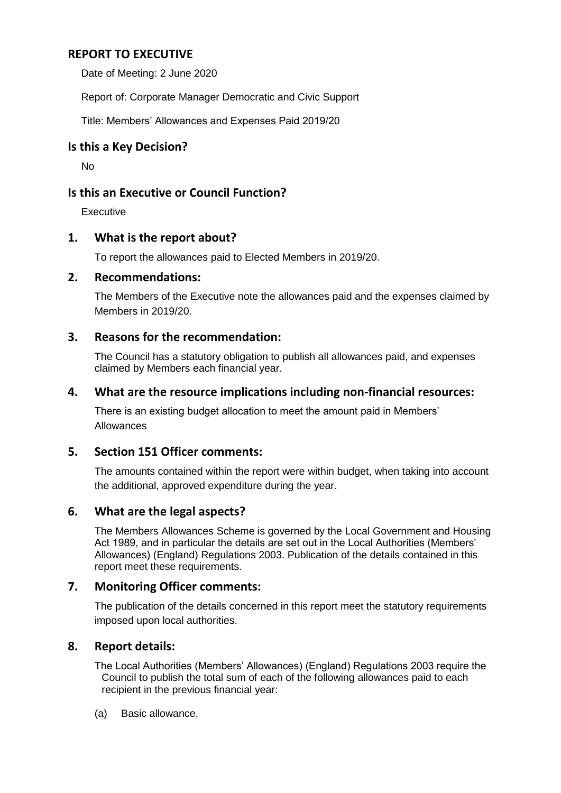# **REPORT TO EXECUTIVE**

Date of Meeting: 2 June 2020

Report of: Corporate Manager Democratic and Civic Support

Title: Members' Allowances and Expenses Paid 2019/20

## **Is this a Key Decision?**

No

# **Is this an Executive or Council Function?**

**Executive** 

# **1. What is the report about?**

To report the allowances paid to Elected Members in 2019/20.

## **2. Recommendations:**

The Members of the Executive note the allowances paid and the expenses claimed by Members in 2019/20.

## **3. Reasons for the recommendation:**

The Council has a statutory obligation to publish all allowances paid, and expenses claimed by Members each financial year.

## **4. What are the resource implications including non-financial resources:**

There is an existing budget allocation to meet the amount paid in Members' Allowances

# **5. Section 151 Officer comments:**

The amounts contained within the report were within budget, when taking into account the additional, approved expenditure during the year.

# **6. What are the legal aspects?**

The Members Allowances Scheme is governed by the Local Government and Housing Act 1989, and in particular the details are set out in the Local Authorities (Members' Allowances) (England) Regulations 2003. Publication of the details contained in this report meet these requirements.

## **7. Monitoring Officer comments:**

The publication of the details concerned in this report meet the statutory requirements imposed upon local authorities.

#### **8. Report details:**

The Local Authorities (Members' Allowances) (England) Regulations 2003 require the Council to publish the total sum of each of the following allowances paid to each recipient in the previous financial year:

(a) Basic allowance,